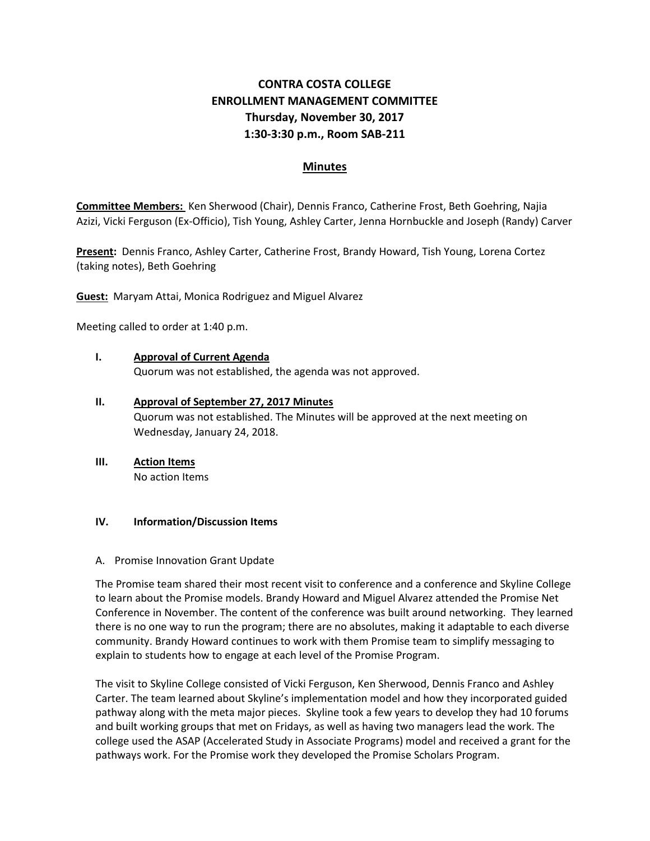# **CONTRA COSTA COLLEGE ENROLLMENT MANAGEMENT COMMITTEE Thursday, November 30, 2017 1:30-3:30 p.m., Room SAB-211**

# **Minutes**

**Committee Members:** Ken Sherwood (Chair), Dennis Franco, Catherine Frost, Beth Goehring, Najia Azizi, Vicki Ferguson (Ex-Officio), Tish Young, Ashley Carter, Jenna Hornbuckle and Joseph (Randy) Carver

**Present:** Dennis Franco, Ashley Carter, Catherine Frost, Brandy Howard, Tish Young, Lorena Cortez (taking notes), Beth Goehring

**Guest:** Maryam Attai, Monica Rodriguez and Miguel Alvarez

Meeting called to order at 1:40 p.m.

- **I. Approval of Current Agenda** Quorum was not established, the agenda was not approved.
- **II. Approval of September 27, 2017 Minutes** Quorum was not established. The Minutes will be approved at the next meeting on Wednesday, January 24, 2018.
- **III. Action Items** No action Items

### **IV. Information/Discussion Items**

#### A. Promise Innovation Grant Update

The Promise team shared their most recent visit to conference and a conference and Skyline College to learn about the Promise models. Brandy Howard and Miguel Alvarez attended the Promise Net Conference in November. The content of the conference was built around networking. They learned there is no one way to run the program; there are no absolutes, making it adaptable to each diverse community. Brandy Howard continues to work with them Promise team to simplify messaging to explain to students how to engage at each level of the Promise Program.

The visit to Skyline College consisted of Vicki Ferguson, Ken Sherwood, Dennis Franco and Ashley Carter. The team learned about Skyline's implementation model and how they incorporated guided pathway along with the meta major pieces. Skyline took a few years to develop they had 10 forums and built working groups that met on Fridays, as well as having two managers lead the work. The college used the ASAP (Accelerated Study in Associate Programs) model and received a grant for the pathways work. For the Promise work they developed the Promise Scholars Program.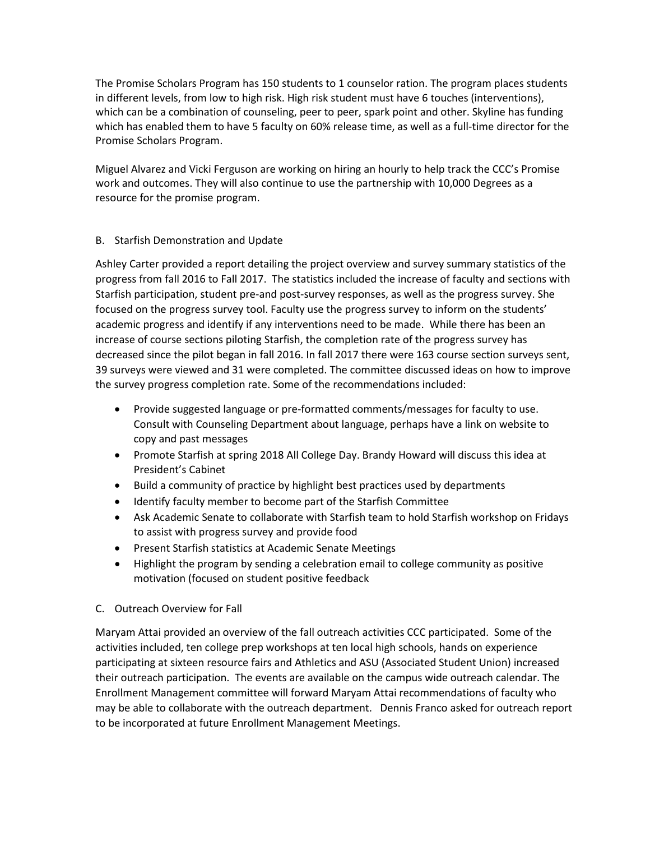The Promise Scholars Program has 150 students to 1 counselor ration. The program places students in different levels, from low to high risk. High risk student must have 6 touches (interventions), which can be a combination of counseling, peer to peer, spark point and other. Skyline has funding which has enabled them to have 5 faculty on 60% release time, as well as a full-time director for the Promise Scholars Program.

Miguel Alvarez and Vicki Ferguson are working on hiring an hourly to help track the CCC's Promise work and outcomes. They will also continue to use the partnership with 10,000 Degrees as a resource for the promise program.

# B. Starfish Demonstration and Update

Ashley Carter provided a report detailing the project overview and survey summary statistics of the progress from fall 2016 to Fall 2017. The statistics included the increase of faculty and sections with Starfish participation, student pre-and post-survey responses, as well as the progress survey. She focused on the progress survey tool. Faculty use the progress survey to inform on the students' academic progress and identify if any interventions need to be made. While there has been an increase of course sections piloting Starfish, the completion rate of the progress survey has decreased since the pilot began in fall 2016. In fall 2017 there were 163 course section surveys sent, 39 surveys were viewed and 31 were completed. The committee discussed ideas on how to improve the survey progress completion rate. Some of the recommendations included:

- Provide suggested language or pre-formatted comments/messages for faculty to use. Consult with Counseling Department about language, perhaps have a link on website to copy and past messages
- Promote Starfish at spring 2018 All College Day. Brandy Howard will discuss this idea at President's Cabinet
- Build a community of practice by highlight best practices used by departments
- Identify faculty member to become part of the Starfish Committee
- Ask Academic Senate to collaborate with Starfish team to hold Starfish workshop on Fridays to assist with progress survey and provide food
- Present Starfish statistics at Academic Senate Meetings
- Highlight the program by sending a celebration email to college community as positive motivation (focused on student positive feedback
- C. Outreach Overview for Fall

Maryam Attai provided an overview of the fall outreach activities CCC participated. Some of the activities included, ten college prep workshops at ten local high schools, hands on experience participating at sixteen resource fairs and Athletics and ASU (Associated Student Union) increased their outreach participation. The events are available on the campus wide outreach calendar. The Enrollment Management committee will forward Maryam Attai recommendations of faculty who may be able to collaborate with the outreach department. Dennis Franco asked for outreach report to be incorporated at future Enrollment Management Meetings.